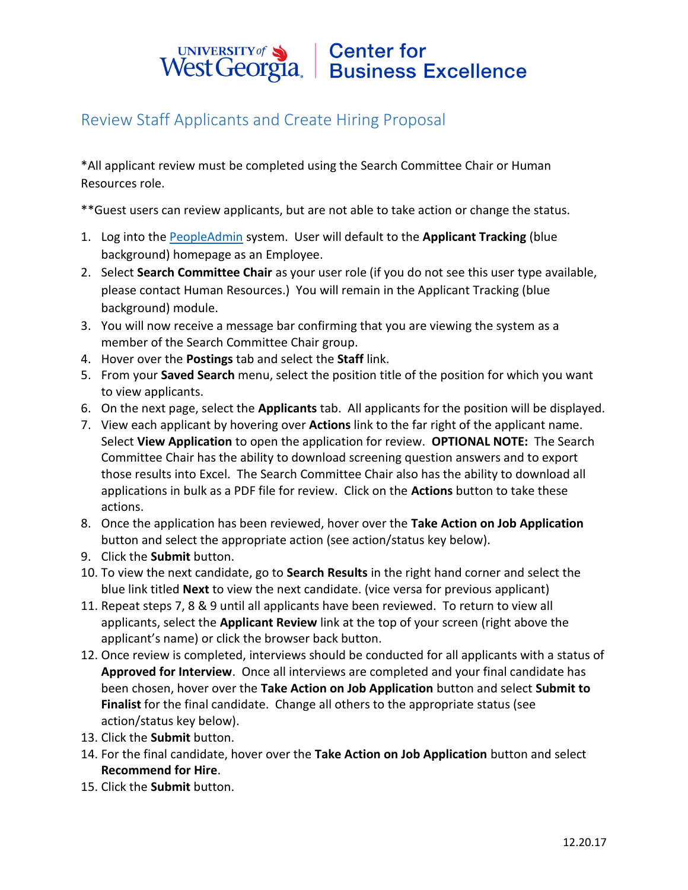#### **Center for** UNIVERSITY of West Georgia. Business Excellence

## Review Staff Applicants and Create Hiring Proposal

\*All applicant review must be completed using the Search Committee Chair or Human Resources role.

\*\*Guest users can review applicants, but are not able to take action or change the status.

- 1. Log into the [PeopleAdmin](https://jobs.westga.edu/hr) system. User will default to the **Applicant Tracking** (blue background) homepage as an Employee.
- 2. Select **Search Committee Chair** as your user role (if you do not see this user type available, please contact Human Resources.) You will remain in the Applicant Tracking (blue background) module.
- 3. You will now receive a message bar confirming that you are viewing the system as a member of the Search Committee Chair group.
- 4. Hover over the **Postings** tab and select the **Staff** link.
- 5. From your **Saved Search** menu, select the position title of the position for which you want to view applicants.
- 6. On the next page, select the **Applicants** tab. All applicants for the position will be displayed.
- 7. View each applicant by hovering over **Actions** link to the far right of the applicant name. Select **View Application** to open the application for review. **OPTIONAL NOTE:** The Search Committee Chair has the ability to download screening question answers and to export those results into Excel. The Search Committee Chair also has the ability to download all applications in bulk as a PDF file for review. Click on the **Actions** button to take these actions.
- 8. Once the application has been reviewed, hover over the **Take Action on Job Application** button and select the appropriate action (see action/status key below).
- 9. Click the **Submit** button.
- 10. To view the next candidate, go to **Search Results** in the right hand corner and select the blue link titled **Next** to view the next candidate. (vice versa for previous applicant)
- 11. Repeat steps 7, 8 & 9 until all applicants have been reviewed. To return to view all applicants, select the **Applicant Review** link at the top of your screen (right above the applicant's name) or click the browser back button.
- 12. Once review is completed, interviews should be conducted for all applicants with a status of **Approved for Interview**. Once all interviews are completed and your final candidate has been chosen, hover over the **Take Action on Job Application** button and select **Submit to Finalist** for the final candidate. Change all others to the appropriate status (see action/status key below).
- 13. Click the **Submit** button.
- 14. For the final candidate, hover over the **Take Action on Job Application** button and select **Recommend for Hire**.
- 15. Click the **Submit** button.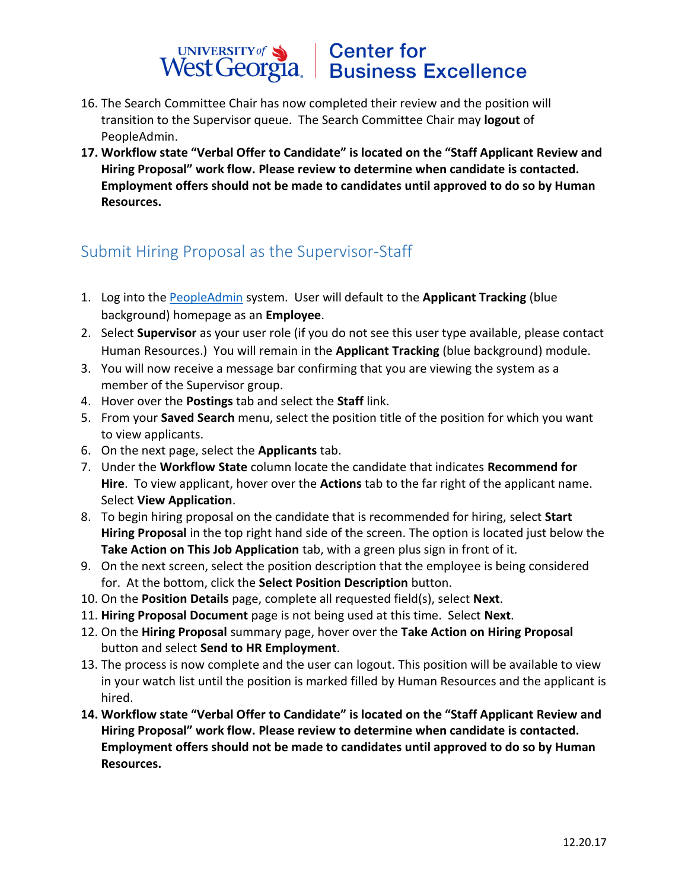#### **Center for** UNIVERSITY of Sand Center for<br>West Georgia. Business Excellence UNIVERSITY of

- 16. The Search Committee Chair has now completed their review and the position will transition to the Supervisor queue. The Search Committee Chair may **logout** of PeopleAdmin.
- **17. Workflow state "Verbal Offer to Candidate" is located on the "Staff Applicant Review and Hiring Proposal" work flow. Please review to determine when candidate is contacted. Employment offers should not be made to candidates until approved to do so by Human Resources.**

## Submit Hiring Proposal as the Supervisor-Staff

- 1. Log into the [PeopleAdmin](https://jobs.westga.edu/hr) system. User will default to the **Applicant Tracking** (blue background) homepage as an **Employee**.
- 2. Select **Supervisor** as your user role (if you do not see this user type available, please contact Human Resources.) You will remain in the **Applicant Tracking** (blue background) module.
- 3. You will now receive a message bar confirming that you are viewing the system as a member of the Supervisor group.
- 4. Hover over the **Postings** tab and select the **Staff** link.
- 5. From your **Saved Search** menu, select the position title of the position for which you want to view applicants.
- 6. On the next page, select the **Applicants** tab.
- 7. Under the **Workflow State** column locate the candidate that indicates **Recommend for Hire**. To view applicant, hover over the **Actions** tab to the far right of the applicant name. Select **View Application**.
- 8. To begin hiring proposal on the candidate that is recommended for hiring, select **Start Hiring Proposal** in the top right hand side of the screen. The option is located just below the **Take Action on This Job Application** tab, with a green plus sign in front of it.
- 9. On the next screen, select the position description that the employee is being considered for. At the bottom, click the **Select Position Description** button.
- 10. On the **Position Details** page, complete all requested field(s), select **Next**.
- 11. **Hiring Proposal Document** page is not being used at this time. Select **Next**.
- 12. On the **Hiring Proposal** summary page, hover over the **Take Action on Hiring Proposal** button and select **Send to HR Employment**.
- 13. The process is now complete and the user can logout. This position will be available to view in your watch list until the position is marked filled by Human Resources and the applicant is hired.
- **14. Workflow state "Verbal Offer to Candidate" is located on the "Staff Applicant Review and Hiring Proposal" work flow. Please review to determine when candidate is contacted. Employment offers should not be made to candidates until approved to do so by Human Resources.**